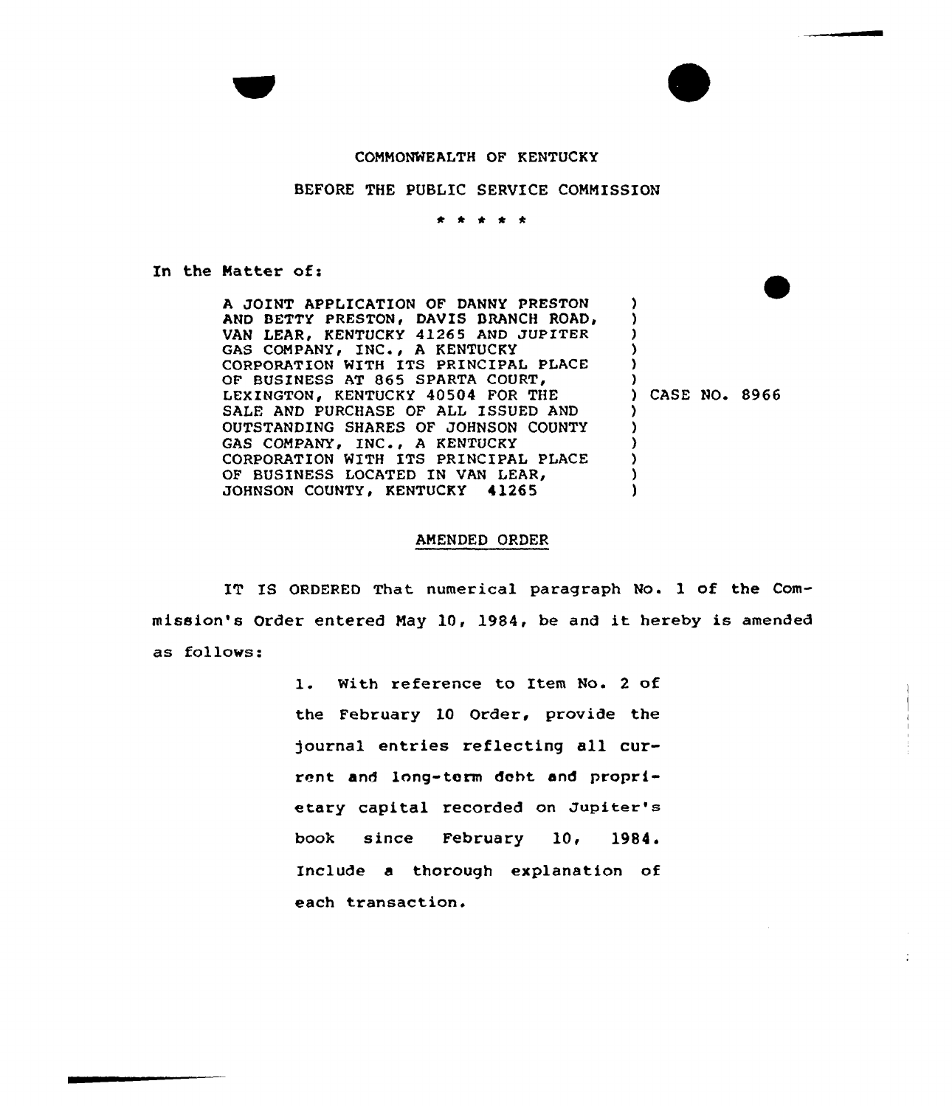## CONNONWEALTH OF KENTUCKY

## BEFORE THE PUBLIC SERVICE CONNISSION

\* \* \* \* \*

In the Matter of:

A JOINT APPLICATION OF DANNY PRESTON AND BETTY PRESTON, DAVIS BRANCH ROAD, VAN LEAR, KENTUCKY 41265 AND JUPITER GAS COMPANY, INC., A KENTUCKY CORPORATION WITH ITS PRINCIPAL PLACE OF BUSINESS AT 865 SPARTA COURT/ LEXINGTON, KENTUCKY 40504 FOR THE SALE AND PURCHASE OF ALL ISSUED AND OUTSTANDING SHARES OF JOHNSON COUNTY GAS COMPANY, INC., A KENTUCKY CORPORATION WITH ITS PRINCIPAL PLACE OF BUSINESS LOCATED IN VAN LEAR, JOHNSON COUNTY, KENTUCKY 41265 ) ) ) ) ) ) ) CASE NO. 8966 ) ) ) ) ) )

## ANENDED ORDER

IT IS ORDERED That numerical paragraph No. 1 of the Commission's Order entered Nay 10< 1984, be and it hereby is amended as follows:

> 1. With reference to Item No. <sup>2</sup> of the February 10 Order, provide the journal entries reflecting all current and long-term deht and proprietary capital recorded on Jupiter's book since February 10, 1984. Include a thorough explanation of each transaction.